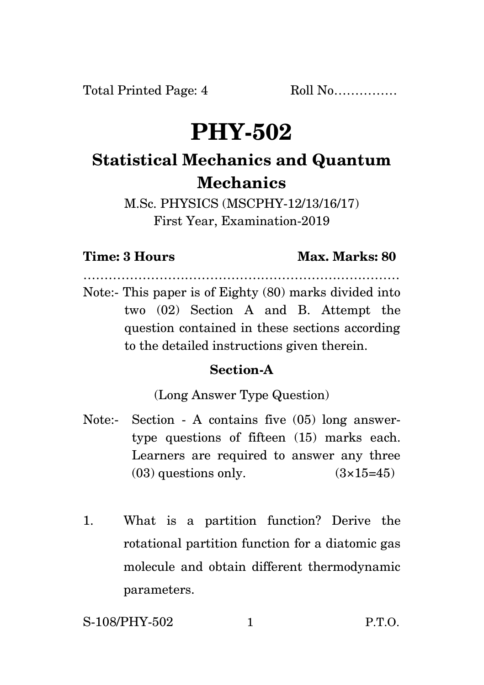Total Printed Page: 4 Roll No...............

# **PHY-502**

## **Statistical Mechanics and Quantum Mechanics**

M.Sc. PHYSICS (MSCPHY-12/13/16/17) First Year, Examination-2019

#### **Time: 3 Hours Max. Marks: 80**

Note:- This paper is of Eighty (80) marks divided into two (02) Section A and B. Attempt the question contained in these sections according to the detailed instructions given therein.

…………………………………………………………………

### **Section-A**

(Long Answer Type Question)

- Note:- Section A contains five (05) long answertype questions of fifteen (15) marks each. Learners are required to answer any three  $(03)$  questions only.  $(3\times15=45)$
- 1. What is a partition function? Derive the rotational partition function for a diatomic gas molecule and obtain different thermodynamic parameters.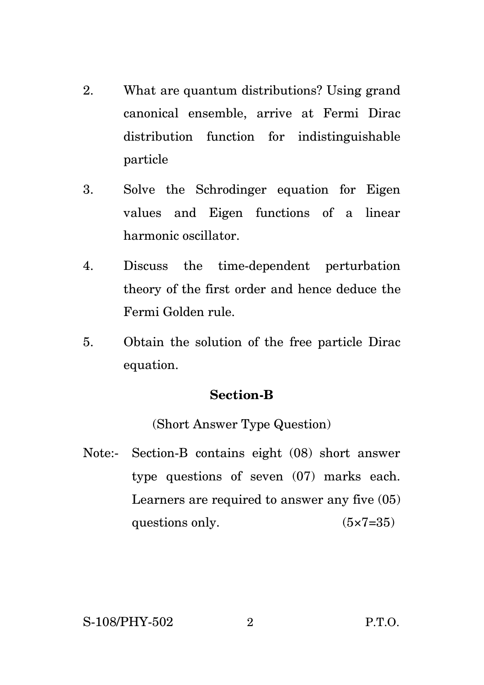- 2. What are quantum distributions? Using grand canonical ensemble, arrive at Fermi Dirac distribution function for indistinguishable particle
- 3. Solve the Schrodinger equation for Eigen values and Eigen functions of a linear harmonic oscillator.
- 4. Discuss the time-dependent perturbation theory of the first order and hence deduce the Fermi Golden rule.
- 5. Obtain the solution of the free particle Dirac equation.

#### **Section-B**

(Short Answer Type Question)

Note:- Section-B contains eight (08) short answer type questions of seven (07) marks each. Learners are required to answer any five (05) questions only.  $(5 \times 7 = 35)$